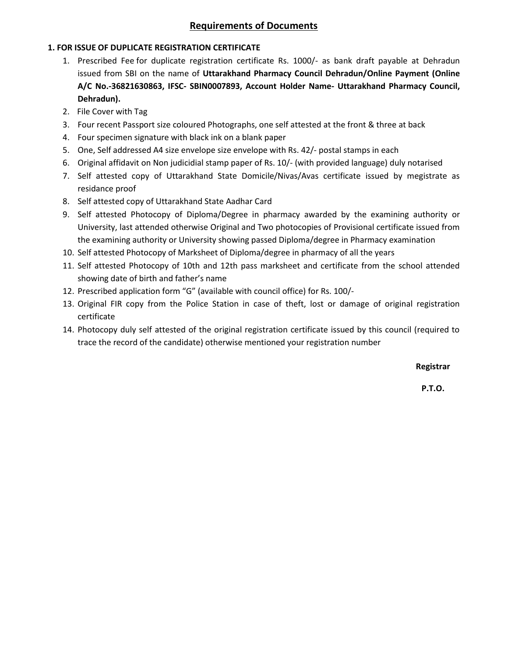# **Requirements of Documents**

## **1. FOR ISSUE OF DUPLICATE REGISTRATION CERTIFICATE**

- 1. Prescribed Fee for duplicate registration certificate Rs. 1000/- as bank draft payable at Dehradun issued from SBI on the name of **Uttarakhand Pharmacy Council Dehradun/Online Payment (Online A/C No.-36821630863, IFSC- SBIN0007893, Account Holder Name- Uttarakhand Pharmacy Council, Dehradun).**
- 2. File Cover with Tag
- 3. Four recent Passport size coloured Photographs, one self attested at the front & three at back
- 4. Four specimen signature with black ink on a blank paper
- 5. One, Self addressed A4 size envelope size envelope with Rs. 42/- postal stamps in each
- 6. Original affidavit on Non judicidial stamp paper of Rs. 10/- (with provided language) duly notarised
- 7. Self attested copy of Uttarakhand State Domicile/Nivas/Avas certificate issued by megistrate as residance proof
- 8. Self attested copy of Uttarakhand State Aadhar Card
- 9. Self attested Photocopy of Diploma/Degree in pharmacy awarded by the examining authority or University, last attended otherwise Original and Two photocopies of Provisional certificate issued from the examining authority or University showing passed Diploma/degree in Pharmacy examination
- 10. Self attested Photocopy of Marksheet of Diploma/degree in pharmacy of all the years
- 11. Self attested Photocopy of 10th and 12th pass marksheet and certificate from the school attended showing date of birth and father's name
- 12. Prescribed application form "G" (available with council office) for Rs. 100/-
- 13. Original FIR copy from the Police Station in case of theft, lost or damage of original registration certificate
- 14. Photocopy duly self attested of the original registration certificate issued by this council (required to trace the record of the candidate) otherwise mentioned your registration number

**Registrar**

**P.T.O.**